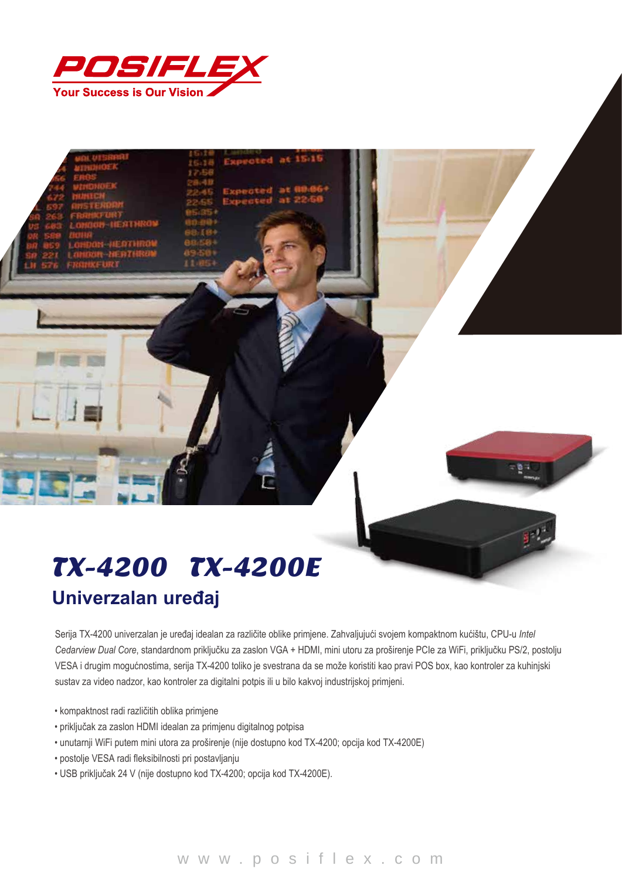

## TX-4200 TX-4200E **Univerzalan uređaj**

Serija TX-4200 univerzalan je uređaj idealan za različite oblike primjene. Zahvaljujući svojem kompaktnom kućištu, CPU-u *Intel Cedarview Dual Core*, standardnom priključku za zaslon VGA + HDMI, mini utoru za proširenje PCIe za WiFi, priključku PS/2, postolju VESA i drugim mogućnostima, serija TX-4200 toliko je svestrana da se može koristiti kao pravi POS box, kao kontroler za kuhinjski sustav za video nadzor, kao kontroler za digitalni potpis ili u bilo kakvoj industrijskoj primjeni.

15.15

- kompaktnost radi različitih oblika primjene
- priključak za zaslon HDMI idealan za primjenu digitalnog potpisa
- unutarnji WiFi putem mini utora za proširenje (nije dostupno kod TX-4200; opcija kod TX-4200E)
- postolje VESA radi fleksibilnosti pri postavljanju
- USB priključak 24 V (nije dostupno kod TX-4200; opcija kod TX-4200E).